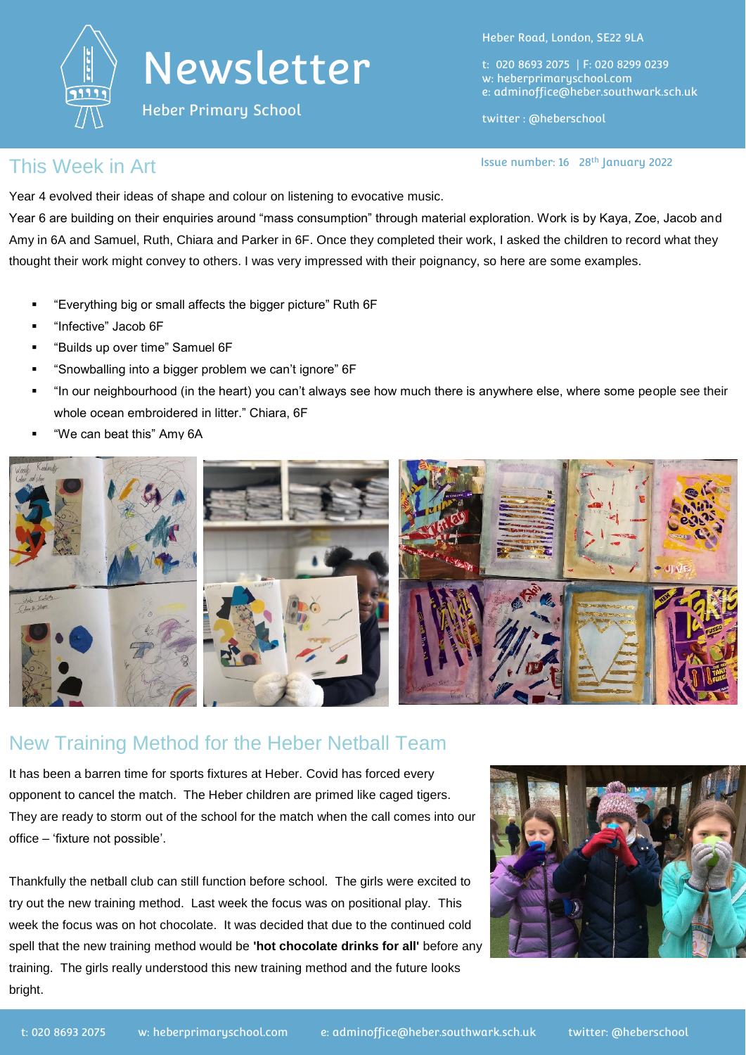

Heber Primary School

Heber Road, London, SE22 9LA

t: 020 8693 2075 | F: 020 8299 0239 w: heberprimaryschool.com e: [adminoffice@heber.southwark.sch.uk](mailto:adminoffice@heber.southwark.sch.uk)

twitter : @heberschool

Issue number: 16 28<sup>th</sup> January 2022

This Week in Art **Interpretate Contract Contract Contract Contract Contract Contract Contract Contract Contract Contract Contract Contract Contract Contract Contract Contract Contract Contract Contract Contract Contract Co** 

Year 4 evolved their ideas of shape and colour on listening to evocative music.

Year 6 are building on their enquiries around "mass consumption" through material exploration. Work is by Kaya, Zoe, Jacob and Amy in 6A and Samuel, Ruth, Chiara and Parker in 6F. Once they completed their work, I asked the children to record what they thought their work might convey to others. I was very impressed with their poignancy, so here are some examples.

- "Everything big or small affects the bigger picture" Ruth 6F
- **"** "Infective" Jacob 6F
- "Builds up over time" Samuel 6F
- "Snowballing into a bigger problem we can't ignore" 6F
- "In our neighbourhood (in the heart) you can't always see how much there is anywhere else, where some people see their whole ocean embroidered in litter." Chiara, 6F
- "We can beat this" Amy 6A



## New Training Method for the Heber Netball Team

It has been a barren time for sports fixtures at Heber. Covid has forced every opponent to cancel the match. The Heber children are primed like caged tigers. They are ready to storm out of the school for the match when the call comes into our office – 'fixture not possible'.

Thankfully the netball club can still function before school. The girls were excited to try out the new training method. Last week the focus was on positional play. This week the focus was on hot chocolate. It was decided that due to the continued cold spell that the new training method would be **'hot chocolate drinks for all'** before any training. The girls really understood this new training method and the future looks bright.

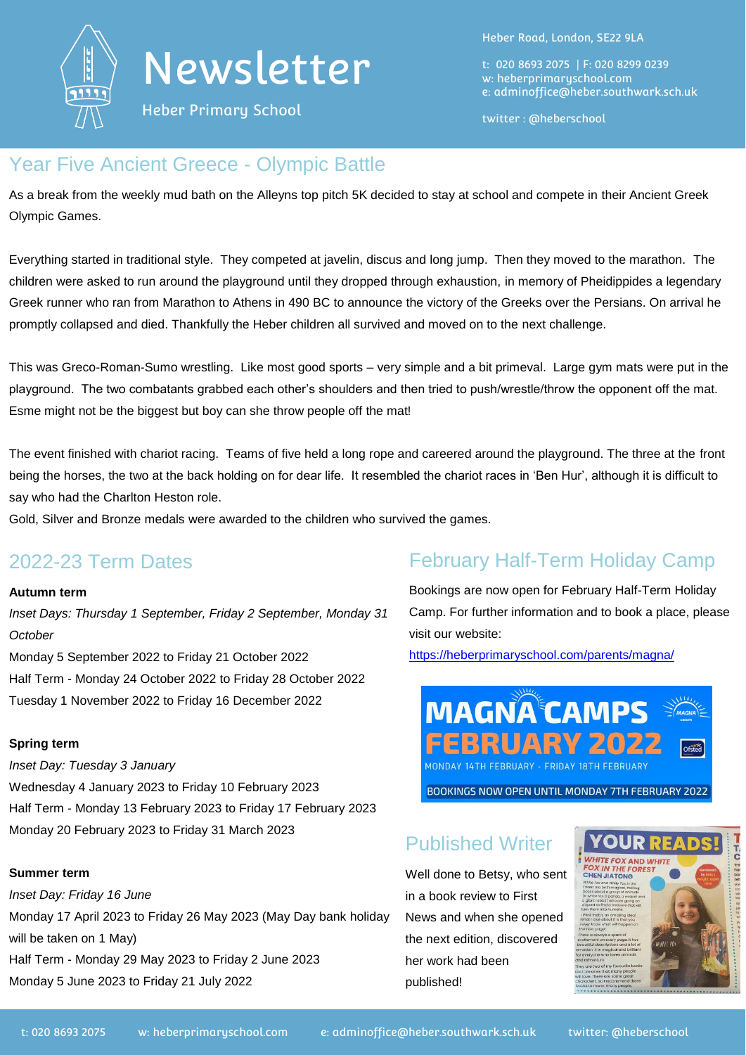

Heber Primary School

Heber Road, London, SE22 9LA

t: 020 8693 2075 | F: 020 8299 0239 w: heberprimaryschool.com e: [adminoffice@heber.southwark.sch.uk](mailto:adminoffice@heber.southwark.sch.uk)

twitter : @heberschool

## Year Five Ancient Greece - Olympic Battle

As a break from the weekly mud bath on the Alleyns top pitch 5K decided to stay at school and compete in their Ancient Greek Olympic Games.

Everything started in traditional style. They competed at javelin, discus and long jump. Then they moved to the marathon. The children were asked to run around the playground until they dropped through exhaustion, in memory of Pheidippides a legendary Greek runner who ran from Marathon to Athens in 490 BC to announce the victory of the Greeks over the Persians. On arrival he promptly collapsed and died. Thankfully the Heber children all survived and moved on to the next challenge.

This was Greco-Roman-Sumo wrestling. Like most good sports – very simple and a bit primeval. Large gym mats were put in the playground. The two combatants grabbed each other's shoulders and then tried to push/wrestle/throw the opponent off the mat. Esme might not be the biggest but boy can she throw people off the mat!

The event finished with chariot racing. Teams of five held a long rope and careered around the playground. The three at the front being the horses, the two at the back holding on for dear life. It resembled the chariot races in 'Ben Hur', although it is difficult to say who had the Charlton Heston role.

Gold, Silver and Bronze medals were awarded to the children who survived the games.

## 2022-23 Term Dates

### **Autumn term**

*Inset Days: Thursday 1 September, Friday 2 September, Monday 31 October* Monday 5 September 2022 to Friday 21 October 2022 Half Term - Monday 24 October 2022 to Friday 28 October 2022 Tuesday 1 November 2022 to Friday 16 December 2022

### **Spring term**

*Inset Day: Tuesday 3 January*

Wednesday 4 January 2023 to Friday 10 February 2023 Half Term - Monday 13 February 2023 to Friday 17 February 2023 Monday 20 February 2023 to Friday 31 March 2023

### **Summer term**

*Inset Day: Friday 16 June* Monday 17 April 2023 to Friday 26 May 2023 (May Day bank holiday will be taken on 1 May) Half Term - Monday 29 May 2023 to Friday 2 June 2023 Monday 5 June 2023 to Friday 21 July 2022

# February Half-Term Holiday Camp

Bookings are now open for February Half-Term Holiday Camp. For further information and to book a place, please visit our website:

<https://heberprimaryschool.com/parents/magna/>



# Published Writer

Well done to Betsy, who sent in a book review to First News and when she opened the next edition, discovered her work had been published!

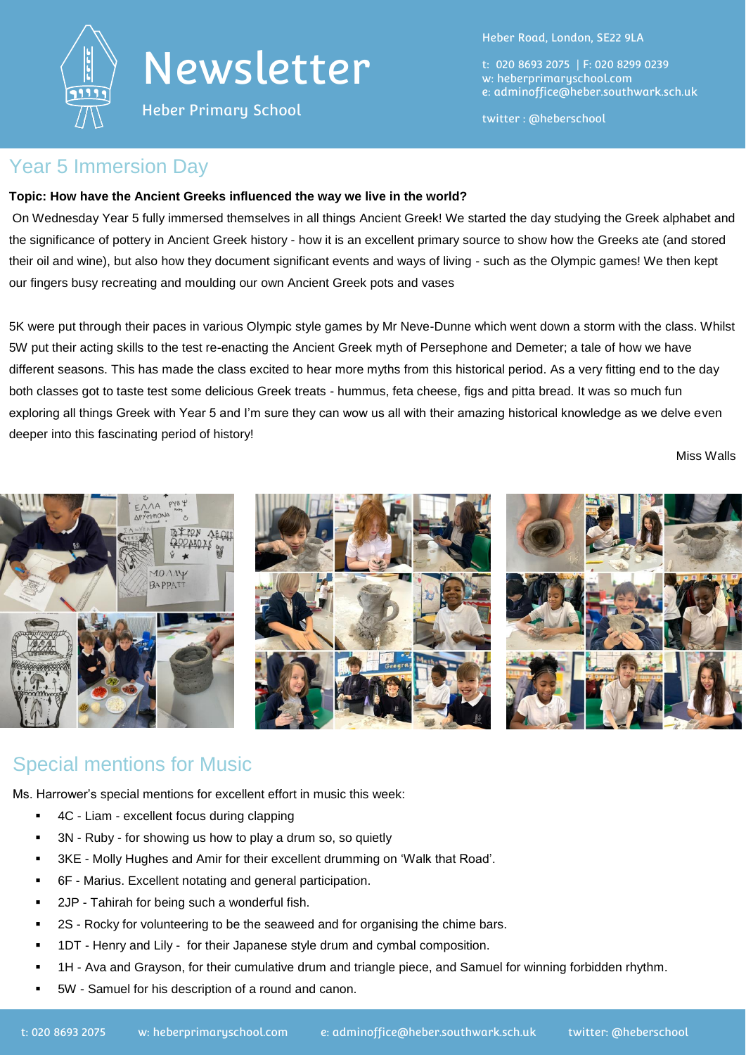

Heber Primary School

Heber Road, London, SE22 9LA

t: 020 8693 2075 | F: 020 8299 0239 w: heberprimaryschool.com e: [adminoffice@heber.southwark.sch.uk](mailto:adminoffice@heber.southwark.sch.uk)

twitter : @heberschool

### Year 5 Immersion Day

#### **Topic: How have the Ancient Greeks influenced the way we live in the world?**

On Wednesday Year 5 fully immersed themselves in all things Ancient Greek! We started the day studying the Greek alphabet and the significance of pottery in Ancient Greek history - how it is an excellent primary source to show how the Greeks ate (and stored their oil and wine), but also how they document significant events and ways of living - such as the Olympic games! We then kept our fingers busy recreating and moulding our own Ancient Greek pots and vases

5K were put through their paces in various Olympic style games by Mr Neve-Dunne which went down a storm with the class. Whilst 5W put their acting skills to the test re-enacting the Ancient Greek myth of Persephone and Demeter; a tale of how we have different seasons. This has made the class excited to hear more myths from this historical period. As a very fitting end to the day both classes got to taste test some delicious Greek treats - hummus, feta cheese, figs and pitta bread. It was so much fun exploring all things Greek with Year 5 and I'm sure they can wow us all with their amazing historical knowledge as we delve even deeper into this fascinating period of history!

Miss Walls



### Special mentions for Music

Ms. Harrower's special mentions for excellent effort in music this week:

- 4C Liam excellent focus during clapping
- 3N Ruby for showing us how to play a drum so, so quietly
- 3KE Molly Hughes and Amir for their excellent drumming on 'Walk that Road'.
- 6F Marius. Excellent notating and general participation.
- **2JP** Tahirah for being such a wonderful fish.
- 2S Rocky for volunteering to be the seaweed and for organising the chime bars.
- **1DT** Henry and Lily for their Japanese style drum and cymbal composition.
- 1H Ava and Grayson, for their cumulative drum and triangle piece, and Samuel for winning forbidden rhythm.
- 5W Samuel for his description of a round and canon.